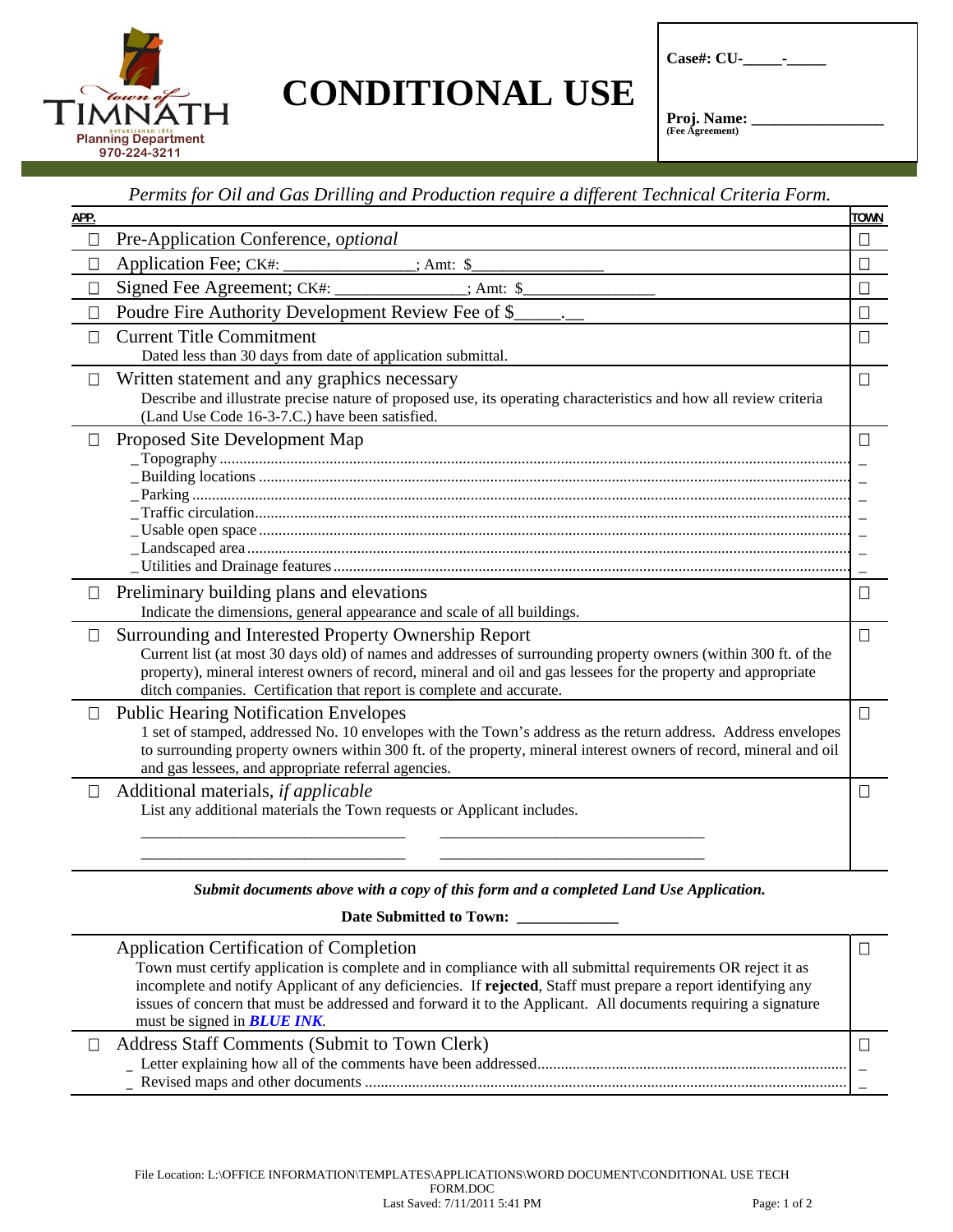

## **CONDITIONAL USE**

**Case#: CU-\_\_\_\_\_-\_\_\_\_\_** 

Proj. Name: **(Fee Agreement)** 

## *Permits for Oil and Gas Drilling and Production require a different Technical Criteria Form.*

| APP.    |                                                                                                                                                                                                                                   | <b>TOWN</b>                               |
|---------|-----------------------------------------------------------------------------------------------------------------------------------------------------------------------------------------------------------------------------------|-------------------------------------------|
| $\perp$ | Pre-Application Conference, optional                                                                                                                                                                                              | П                                         |
| $\Box$  | Application Fee; CK#: ______________; Amt: \$                                                                                                                                                                                     | $\Box$                                    |
| $\Box$  |                                                                                                                                                                                                                                   | $\Box$                                    |
| П       | Poudre Fire Authority Development Review Fee of \$_                                                                                                                                                                               | $\Box$                                    |
| $\perp$ | <b>Current Title Commitment</b><br>Dated less than 30 days from date of application submittal.                                                                                                                                    | $\Box$                                    |
| $\Box$  | Written statement and any graphics necessary<br>Describe and illustrate precise nature of proposed use, its operating characteristics and how all review criteria<br>(Land Use Code 16-3-7.C.) have been satisfied.               | $\Box$                                    |
| $\Box$  | Proposed Site Development Map                                                                                                                                                                                                     | $\Box$                                    |
|         |                                                                                                                                                                                                                                   |                                           |
|         |                                                                                                                                                                                                                                   | $\overline{\phantom{0}}$<br>$\frac{1}{2}$ |
|         |                                                                                                                                                                                                                                   | $\equiv$                                  |
|         |                                                                                                                                                                                                                                   | $\overline{\phantom{0}}$<br>$\equiv$      |
|         |                                                                                                                                                                                                                                   |                                           |
| $\Box$  | Preliminary building plans and elevations                                                                                                                                                                                         | $\Box$                                    |
|         | Indicate the dimensions, general appearance and scale of all buildings.                                                                                                                                                           |                                           |
| $\Box$  | Surrounding and Interested Property Ownership Report                                                                                                                                                                              | П                                         |
|         | Current list (at most 30 days old) of names and addresses of surrounding property owners (within 300 ft. of the<br>property), mineral interest owners of record, mineral and oil and gas lessees for the property and appropriate |                                           |
|         | ditch companies. Certification that report is complete and accurate.                                                                                                                                                              |                                           |
| $\Box$  | <b>Public Hearing Notification Envelopes</b>                                                                                                                                                                                      | П                                         |
|         | 1 set of stamped, addressed No. 10 envelopes with the Town's address as the return address. Address envelopes                                                                                                                     |                                           |
|         | to surrounding property owners within 300 ft. of the property, mineral interest owners of record, mineral and oil<br>and gas lessees, and appropriate referral agencies.                                                          |                                           |
| $\Box$  | Additional materials, if applicable                                                                                                                                                                                               | П                                         |
|         | List any additional materials the Town requests or Applicant includes.                                                                                                                                                            |                                           |
|         |                                                                                                                                                                                                                                   |                                           |
|         |                                                                                                                                                                                                                                   |                                           |
|         |                                                                                                                                                                                                                                   |                                           |

## *Submit documents above with a copy of this form and a completed Land Use Application.*

**Date Submitted to Town: \_\_\_\_\_\_\_\_\_\_\_\_\_** 

|   | Application Certification of Completion<br>Town must certify application is complete and in compliance with all submittal requirements OR reject it as<br>incomplete and notify Applicant of any deficiencies. If rejected, Staff must prepare a report identifying any<br>issues of concern that must be addressed and forward it to the Applicant. All documents requiring a signature<br>must be signed in <b>BLUE INK</b> . |  |
|---|---------------------------------------------------------------------------------------------------------------------------------------------------------------------------------------------------------------------------------------------------------------------------------------------------------------------------------------------------------------------------------------------------------------------------------|--|
| П | Address Staff Comments (Submit to Town Clerk)                                                                                                                                                                                                                                                                                                                                                                                   |  |
|   |                                                                                                                                                                                                                                                                                                                                                                                                                                 |  |